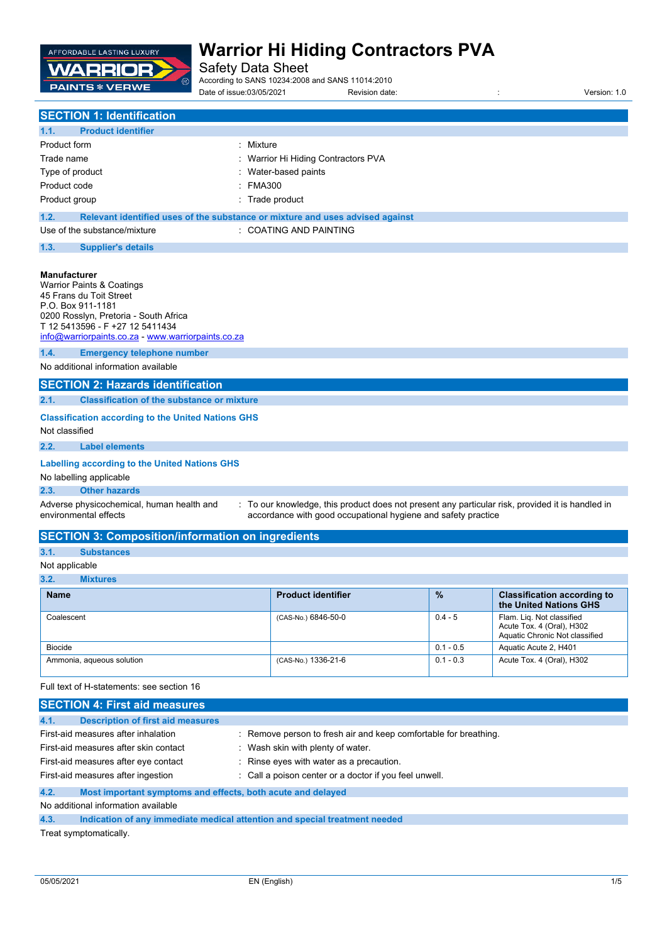

Safety Data Sheet

According to SANS 10234:2008 and SANS 11014:2010

Date of issue:03/05/2021 Revision date: <br>
Revision date:  $\frac{1}{2}$  Revision: 1.0

| <b>SECTION 1: Identification</b>                       |                                                                               |  |
|--------------------------------------------------------|-------------------------------------------------------------------------------|--|
| 1.1.<br><b>Product identifier</b>                      |                                                                               |  |
| Product form                                           | : Mixture                                                                     |  |
| Trade name                                             | : Warrior Hi Hiding Contractors PVA                                           |  |
| Type of product                                        | : Water-based paints                                                          |  |
| Product code                                           | : FMA300                                                                      |  |
| Product group                                          | : Trade product                                                               |  |
| 1.2.                                                   | Relevant identified uses of the substance or mixture and uses advised against |  |
| : COATING AND PAINTING<br>Use of the substance/mixture |                                                                               |  |
| 1.3.<br><b>Supplier's details</b>                      |                                                                               |  |
|                                                        |                                                                               |  |
| <b>Manufacturer</b>                                    |                                                                               |  |

|                                                                             | <b>Warrior Paints &amp; Coatings</b><br>45 Frans du Toit Street<br>P.O. Box 911-1181<br>0200 Rosslyn, Pretoria - South Africa<br>T 12 5413596 - F +27 12 5411434 |                                                                                                                                                                   |  |
|-----------------------------------------------------------------------------|------------------------------------------------------------------------------------------------------------------------------------------------------------------|-------------------------------------------------------------------------------------------------------------------------------------------------------------------|--|
|                                                                             | info@warriorpaints.co.za - www.warriorpaints.co.za                                                                                                               |                                                                                                                                                                   |  |
| 1.4.                                                                        | <b>Emergency telephone number</b>                                                                                                                                |                                                                                                                                                                   |  |
|                                                                             | No additional information available                                                                                                                              |                                                                                                                                                                   |  |
|                                                                             | <b>SECTION 2: Hazards identification</b>                                                                                                                         |                                                                                                                                                                   |  |
| 2.1.                                                                        | <b>Classification of the substance or mixture</b>                                                                                                                |                                                                                                                                                                   |  |
| <b>Classification according to the United Nations GHS</b><br>Not classified |                                                                                                                                                                  |                                                                                                                                                                   |  |
| 2.2.                                                                        | <b>Label elements</b>                                                                                                                                            |                                                                                                                                                                   |  |
| Labelling according to the United Nations GHS<br>No labelling applicable    |                                                                                                                                                                  |                                                                                                                                                                   |  |
| 2.3.                                                                        | <b>Other hazards</b>                                                                                                                                             |                                                                                                                                                                   |  |
|                                                                             | Adverse physicochemical, human health and<br>environmental effects                                                                                               | : To our knowledge, this product does not present any particular risk, provided it is handled in<br>accordance with good occupational hygiene and safety practice |  |

| <b>SECTION 3: Composition/information on ingredients</b> |  |  |  |
|----------------------------------------------------------|--|--|--|
|----------------------------------------------------------|--|--|--|

## **3.1. Substances**

### Not applicable

| 3.2. |  | <b>Mixtures</b> |  |  |
|------|--|-----------------|--|--|
|      |  |                 |  |  |

| <b>Name</b>               | <b>Product identifier</b> | $\frac{9}{6}$ | <b>Classification according to</b><br>the United Nations GHS                             |  |  |
|---------------------------|---------------------------|---------------|------------------------------------------------------------------------------------------|--|--|
| Coalescent                | (CAS-No.) 6846-50-0       | $0.4 - 5$     | Flam. Lig. Not classified<br>Acute Tox. 4 (Oral), H302<br>Aquatic Chronic Not classified |  |  |
| <b>Biocide</b>            |                           | $0.1 - 0.5$   | Aquatic Acute 2, H401                                                                    |  |  |
| Ammonia, aqueous solution | (CAS-No.) 1336-21-6       | $0.1 - 0.3$   | Acute Tox. 4 (Oral), H302                                                                |  |  |

Full text of H-statements: see section 16

| <b>SECTION 4: First aid measures</b>                                                         |                                                                            |  |
|----------------------------------------------------------------------------------------------|----------------------------------------------------------------------------|--|
| <b>Description of first aid measures</b><br>4.1.                                             |                                                                            |  |
| First-aid measures after inhalation                                                          | : Remove person to fresh air and keep comfortable for breathing.           |  |
| First-aid measures after skin contact<br>: Wash skin with plenty of water.                   |                                                                            |  |
| : Rinse eyes with water as a precaution.<br>First-aid measures after eye contact             |                                                                            |  |
| First-aid measures after ingestion<br>: Call a poison center or a doctor if you feel unwell. |                                                                            |  |
| Most important symptoms and effects, both acute and delayed<br>4.2.                          |                                                                            |  |
| No additional information available                                                          |                                                                            |  |
| 4.3.                                                                                         | Indication of any immediate medical attention and special treatment needed |  |

Treat symptomatically.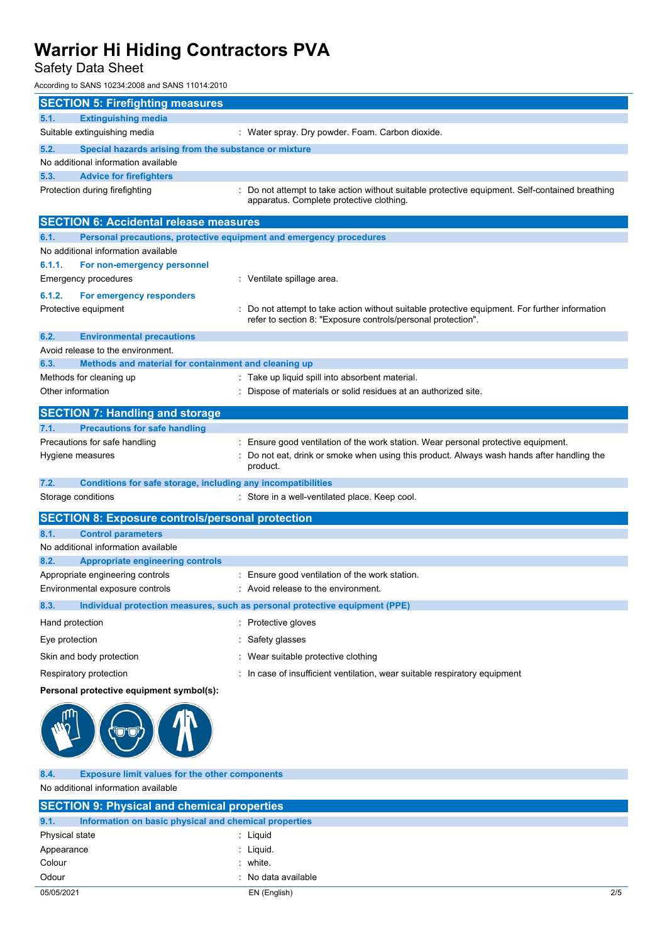## Safety Data Sheet

According to SANS 10234:2008 and SANS 11014:2010

| <b>SECTION 5: Firefighting measures</b>                                     |                                                                                                                                                              |
|-----------------------------------------------------------------------------|--------------------------------------------------------------------------------------------------------------------------------------------------------------|
| <b>Extinguishing media</b><br>5.1.                                          |                                                                                                                                                              |
| Suitable extinguishing media                                                | : Water spray. Dry powder. Foam. Carbon dioxide.                                                                                                             |
| 5.2.<br>Special hazards arising from the substance or mixture               |                                                                                                                                                              |
| No additional information available                                         |                                                                                                                                                              |
| 5.3.<br><b>Advice for firefighters</b>                                      |                                                                                                                                                              |
| Protection during firefighting                                              | : Do not attempt to take action without suitable protective equipment. Self-contained breathing<br>apparatus. Complete protective clothing.                  |
| <b>SECTION 6: Accidental release measures</b>                               |                                                                                                                                                              |
| Personal precautions, protective equipment and emergency procedures<br>6.1. |                                                                                                                                                              |
| No additional information available                                         |                                                                                                                                                              |
| 6.1.1.<br>For non-emergency personnel                                       |                                                                                                                                                              |
| Emergency procedures                                                        | : Ventilate spillage area.                                                                                                                                   |
| 6.1.2.<br>For emergency responders                                          |                                                                                                                                                              |
| Protective equipment                                                        | Do not attempt to take action without suitable protective equipment. For further information<br>refer to section 8: "Exposure controls/personal protection". |
| 6.2.<br><b>Environmental precautions</b>                                    |                                                                                                                                                              |
| Avoid release to the environment.                                           |                                                                                                                                                              |
| 6.3.<br>Methods and material for containment and cleaning up                |                                                                                                                                                              |
| Methods for cleaning up                                                     | : Take up liquid spill into absorbent material.                                                                                                              |
| Other information                                                           | : Dispose of materials or solid residues at an authorized site.                                                                                              |
| <b>SECTION 7: Handling and storage</b>                                      |                                                                                                                                                              |
| <b>Precautions for safe handling</b><br>7.1.                                |                                                                                                                                                              |
| Precautions for safe handling                                               | : Ensure good ventilation of the work station. Wear personal protective equipment.                                                                           |
| Hygiene measures                                                            | Do not eat, drink or smoke when using this product. Always wash hands after handling the<br>product.                                                         |
| 7.2.<br>Conditions for safe storage, including any incompatibilities        |                                                                                                                                                              |
| Storage conditions                                                          | : Store in a well-ventilated place. Keep cool.                                                                                                               |
| <b>SECTION 8: Exposure controls/personal protection</b>                     |                                                                                                                                                              |
| 8.1.<br><b>Control parameters</b>                                           |                                                                                                                                                              |
| No additional information available                                         |                                                                                                                                                              |
| 8.2.<br><b>Appropriate engineering controls</b>                             |                                                                                                                                                              |
| Appropriate engineering controls                                            | : Ensure good ventilation of the work station.                                                                                                               |
| Environmental exposure controls                                             | . Avoid release to the environment.                                                                                                                          |
| 8.3.                                                                        | Individual protection measures, such as personal protective equipment (PPE)                                                                                  |
| Hand protection                                                             | : Protective gloves                                                                                                                                          |
| Eye protection                                                              | Safety glasses                                                                                                                                               |
| Skin and body protection                                                    | Wear suitable protective clothing                                                                                                                            |
| Respiratory protection                                                      | : In case of insufficient ventilation, wear suitable respiratory equipment                                                                                   |
| Personal protective equipment symbol(s):                                    |                                                                                                                                                              |
|                                                                             |                                                                                                                                                              |
| <b>Exposure limit values for the other components</b><br>8.4.               |                                                                                                                                                              |

No additional information available

| <b>SECTION 9: Physical and chemical properties</b>            |                     |     |  |
|---------------------------------------------------------------|---------------------|-----|--|
| 9.1.<br>Information on basic physical and chemical properties |                     |     |  |
| Physical state                                                | $:$ Liquid          |     |  |
| Appearance                                                    | : Liquid.           |     |  |
| Colour                                                        | $:$ white.          |     |  |
| Odour                                                         | : No data available |     |  |
| 05/05/2021                                                    | EN (English)        | 2/5 |  |
|                                                               |                     |     |  |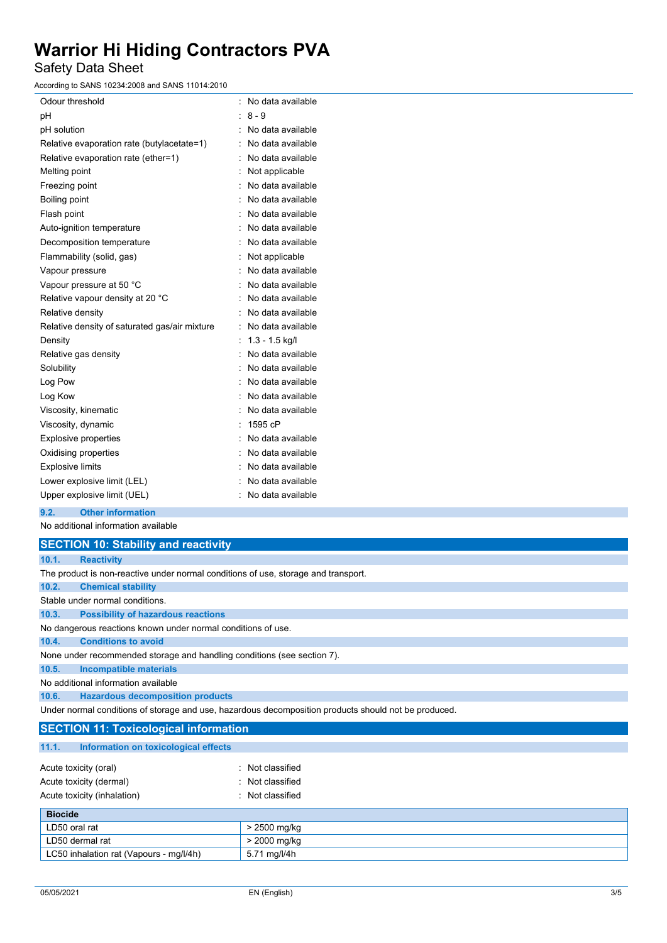Safety Data Sheet

According to SANS 10234:2008 and SANS 11014:2010

| Odour threshold                               | ۰  | No data available |
|-----------------------------------------------|----|-------------------|
| рH                                            |    | $8 - 9$           |
| pH solution                                   |    | No data available |
| Relative evaporation rate (butylacetate=1)    |    | No data available |
| Relative evaporation rate (ether=1)           |    | No data available |
| Melting point                                 |    | Not applicable    |
| Freezing point                                |    | No data available |
| Boiling point                                 |    | No data available |
| Flash point                                   |    | No data available |
| Auto-ignition temperature                     |    | No data available |
| Decomposition temperature                     |    | No data available |
| Flammability (solid, gas)                     |    | Not applicable    |
| Vapour pressure                               |    | No data available |
| Vapour pressure at 50 °C                      |    | No data available |
| Relative vapour density at 20 °C              | ٠  | No data available |
| Relative density                              |    | No data available |
| Relative density of saturated gas/air mixture | ۰  | No data available |
| Density                                       |    | $1.3 - 1.5$ kg/l  |
| Relative gas density                          |    | No data available |
| Solubility                                    |    | No data available |
| Log Pow                                       |    | No data available |
| Log Kow                                       |    | No data available |
| Viscosity, kinematic                          |    | No data available |
| Viscosity, dynamic                            |    | 1595 cP           |
| <b>Explosive properties</b>                   |    | No data available |
| Oxidising properties                          |    | No data available |
| <b>Explosive limits</b>                       |    | No data available |
| Lower explosive limit (LEL)                   |    | No data available |
| Upper explosive limit (UEL)                   | ۰. | No data available |

**9.2. Other information**

No additional information available

|       | <b>SECTION 10: Stability and reactivity</b>                                                          |
|-------|------------------------------------------------------------------------------------------------------|
| 10.1. | <b>Reactivity</b>                                                                                    |
|       | The product is non-reactive under normal conditions of use, storage and transport.                   |
| 10.2. | <b>Chemical stability</b>                                                                            |
|       | Stable under normal conditions                                                                       |
| 10.3. | <b>Possibility of hazardous reactions</b>                                                            |
|       | No dangerous reactions known under normal conditions of use.                                         |
| 10.4. | <b>Conditions to avoid</b>                                                                           |
|       | None under recommended storage and handling conditions (see section 7).                              |
| 10.5. | <b>Incompatible materials</b>                                                                        |
|       | No additional information available                                                                  |
| 10.6. | <b>Hazardous decomposition products</b>                                                              |
|       | Under normal conditions of storage and use, hazardous decomposition products should not be produced. |
|       | <b>SECTION 11: Toxicological information</b>                                                         |
| 11.1. | Information on toxicological effects                                                                 |

| Acute toxicity (oral)       | : Not classified |
|-----------------------------|------------------|
| Acute toxicity (dermal)     | : Not classified |
| Acute toxicity (inhalation) | : Not classified |
| <b>Biocide</b>              |                  |

| <b>BIOCIDE</b>                          |              |
|-----------------------------------------|--------------|
| LD50 oral rat                           | · 2500 mg/kg |
| LD50 dermal rat                         | > 2000 mg/kg |
| LC50 inhalation rat (Vapours - mg/l/4h) | 5.71 mg/l/4h |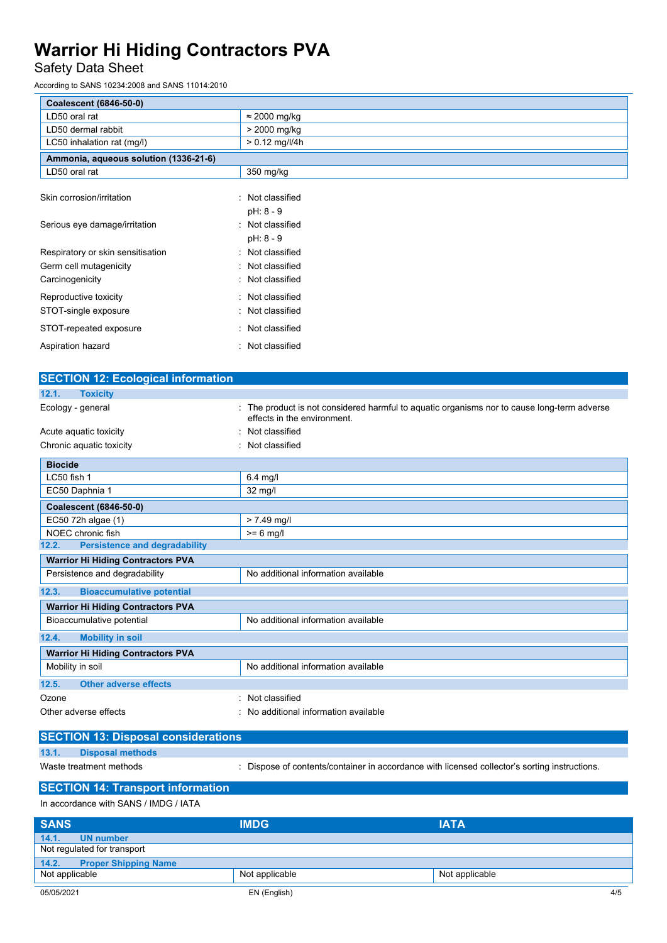## Safety Data Sheet

According to SANS 10234:2008 and SANS 11014:2010

| <b>Coalescent (6846-50-0)</b>         |                                            |
|---------------------------------------|--------------------------------------------|
| LD50 oral rat                         | $\approx$ 2000 mg/kg                       |
| LD50 dermal rabbit                    | > 2000 mg/kg                               |
| LC50 inhalation rat (mg/l)            | $> 0.12$ mg/l/4h                           |
| Ammonia, aqueous solution (1336-21-6) |                                            |
| LD50 oral rat                         | 350 mg/kg                                  |
| Skin corrosion/irritation             | Not classified<br>٠                        |
| Serious eye damage/irritation         | pH: 8 - 9<br>: Not classified<br>pH: 8 - 9 |
| Respiratory or skin sensitisation     | : Not classified                           |
| Germ cell mutagenicity                | : Not classified                           |
| Carcinogenicity                       | : Not classified                           |
| Reproductive toxicity                 | : Not classified                           |
| STOT-single exposure                  | : Not classified                           |
| STOT-repeated exposure                | : Not classified                           |
| Aspiration hazard<br>٠                | Not classified                             |

| <b>SECTION 12: Ecological information</b>     |                                                                                                                          |  |
|-----------------------------------------------|--------------------------------------------------------------------------------------------------------------------------|--|
| 12.1.<br><b>Toxicity</b>                      |                                                                                                                          |  |
| Ecology - general                             | The product is not considered harmful to aquatic organisms nor to cause long-term adverse<br>effects in the environment. |  |
| Acute aquatic toxicity                        | Not classified                                                                                                           |  |
| Chronic aquatic toxicity                      | Not classified                                                                                                           |  |
| <b>Biocide</b>                                |                                                                                                                          |  |
| LC50 fish 1                                   | $6.4$ mg/l                                                                                                               |  |
| EC50 Daphnia 1                                | $32 \text{ mg/l}$                                                                                                        |  |
| Coalescent (6846-50-0)                        |                                                                                                                          |  |
| EC50 72h algae (1)                            | $> 7.49$ mg/l                                                                                                            |  |
| NOEC chronic fish                             | $>= 6$ mg/l                                                                                                              |  |
| <b>Persistence and degradability</b><br>12.2. |                                                                                                                          |  |
| <b>Warrior Hi Hiding Contractors PVA</b>      |                                                                                                                          |  |
| Persistence and degradability                 | No additional information available                                                                                      |  |
| 12.3.<br><b>Bioaccumulative potential</b>     |                                                                                                                          |  |
| <b>Warrior Hi Hiding Contractors PVA</b>      |                                                                                                                          |  |
| Bioaccumulative potential                     | No additional information available                                                                                      |  |
| <b>Mobility in soil</b><br>12.4.              |                                                                                                                          |  |
| <b>Warrior Hi Hiding Contractors PVA</b>      |                                                                                                                          |  |
| Mobility in soil                              | No additional information available                                                                                      |  |
| <b>Other adverse effects</b><br>12.5.         |                                                                                                                          |  |
| Ozone                                         | Not classified                                                                                                           |  |
| Other adverse effects                         | No additional information available                                                                                      |  |

|       | <b>SECTION 13: Disposal considerations</b> |                                                                                             |
|-------|--------------------------------------------|---------------------------------------------------------------------------------------------|
| 13.1. | <b>Disposal methods</b>                    |                                                                                             |
|       | Waste treatment methods                    | Dispose of contents/container in accordance with licensed collector's sorting instructions. |

**SECTION 14: Transport information**

| In accordance with SANS / IMDG / IATA |                |                |  |  |
|---------------------------------------|----------------|----------------|--|--|
| <b>SANS</b>                           | <b>IMDG</b>    | <b>IATA</b>    |  |  |
| 14.1.<br><b>UN number</b>             |                |                |  |  |
| Not regulated for transport           |                |                |  |  |
| 14.2.<br><b>Proper Shipping Name</b>  |                |                |  |  |
| Not applicable                        | Not applicable | Not applicable |  |  |
| 05/05/2021                            | EN (English)   | 4/5            |  |  |